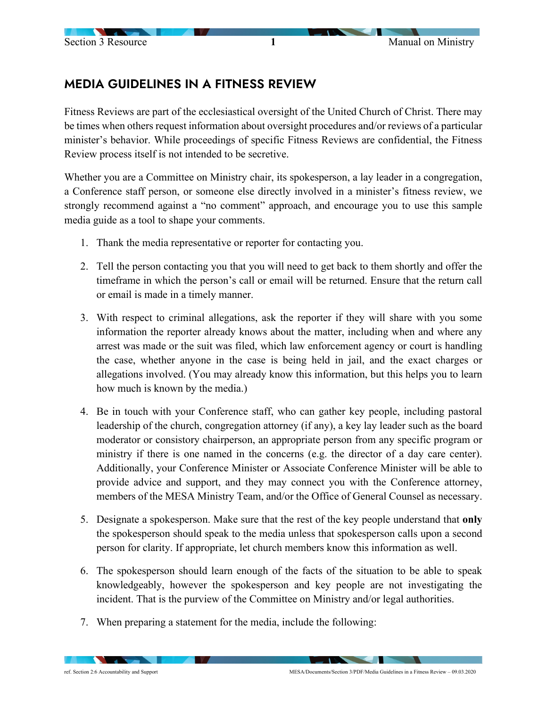## MEDIA GUIDELINES IN A FITNESS REVIEW

Fitness Reviews are part of the ecclesiastical oversight of the United Church of Christ. There may be times when others request information about oversight procedures and/or reviews of a particular minister's behavior. While proceedings of specific Fitness Reviews are confidential, the Fitness Review process itself is not intended to be secretive.

Whether you are a Committee on Ministry chair, its spokesperson, a lay leader in a congregation, a Conference staff person, or someone else directly involved in a minister's fitness review, we strongly recommend against a "no comment" approach, and encourage you to use this sample media guide as a tool to shape your comments.

- 1. Thank the media representative or reporter for contacting you.
- 2. Tell the person contacting you that you will need to get back to them shortly and offer the timeframe in which the person's call or email will be returned. Ensure that the return call or email is made in a timely manner.
- 3. With respect to criminal allegations, ask the reporter if they will share with you some information the reporter already knows about the matter, including when and where any arrest was made or the suit was filed, which law enforcement agency or court is handling the case, whether anyone in the case is being held in jail, and the exact charges or allegations involved. (You may already know this information, but this helps you to learn how much is known by the media.)
- 4. Be in touch with your Conference staff, who can gather key people, including pastoral leadership of the church, congregation attorney (if any), a key lay leader such as the board moderator or consistory chairperson, an appropriate person from any specific program or ministry if there is one named in the concerns (e.g. the director of a day care center). Additionally, your Conference Minister or Associate Conference Minister will be able to provide advice and support, and they may connect you with the Conference attorney, members of the MESA Ministry Team, and/or the Office of General Counsel as necessary.
- 5. Designate a spokesperson. Make sure that the rest of the key people understand that **only** the spokesperson should speak to the media unless that spokesperson calls upon a second person for clarity. If appropriate, let church members know this information as well.
- 6. The spokesperson should learn enough of the facts of the situation to be able to speak knowledgeably, however the spokesperson and key people are not investigating the incident. That is the purview of the Committee on Ministry and/or legal authorities.
- 7. When preparing a statement for the media, include the following:

 $\sim$   $\sim$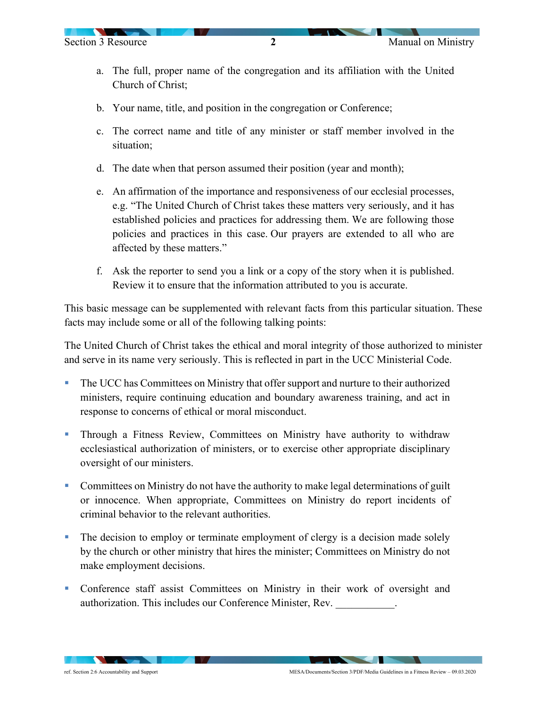- a. The full, proper name of the congregation and its affiliation with the United Church of Christ;
- b. Your name, title, and position in the congregation or Conference;
- c. The correct name and title of any minister or staff member involved in the situation;
- d. The date when that person assumed their position (year and month);
- e. An affirmation of the importance and responsiveness of our ecclesial processes, e.g. "The United Church of Christ takes these matters very seriously, and it has established policies and practices for addressing them. We are following those policies and practices in this case. Our prayers are extended to all who are affected by these matters."
- f. Ask the reporter to send you a link or a copy of the story when it is published. Review it to ensure that the information attributed to you is accurate.

This basic message can be supplemented with relevant facts from this particular situation. These facts may include some or all of the following talking points:

The United Church of Christ takes the ethical and moral integrity of those authorized to minister and serve in its name very seriously. This is reflected in part in the UCC Ministerial Code.

- The UCC has Committees on Ministry that offer support and nurture to their authorized ministers, require continuing education and boundary awareness training, and act in response to concerns of ethical or moral misconduct.
- Through a Fitness Review, Committees on Ministry have authority to withdraw ecclesiastical authorization of ministers, or to exercise other appropriate disciplinary oversight of our ministers.
- Committees on Ministry do not have the authority to make legal determinations of guilt or innocence. When appropriate, Committees on Ministry do report incidents of criminal behavior to the relevant authorities.
- The decision to employ or terminate employment of clergy is a decision made solely by the church or other ministry that hires the minister; Committees on Ministry do not make employment decisions.
- Conference staff assist Committees on Ministry in their work of oversight and authorization. This includes our Conference Minister, Rev.